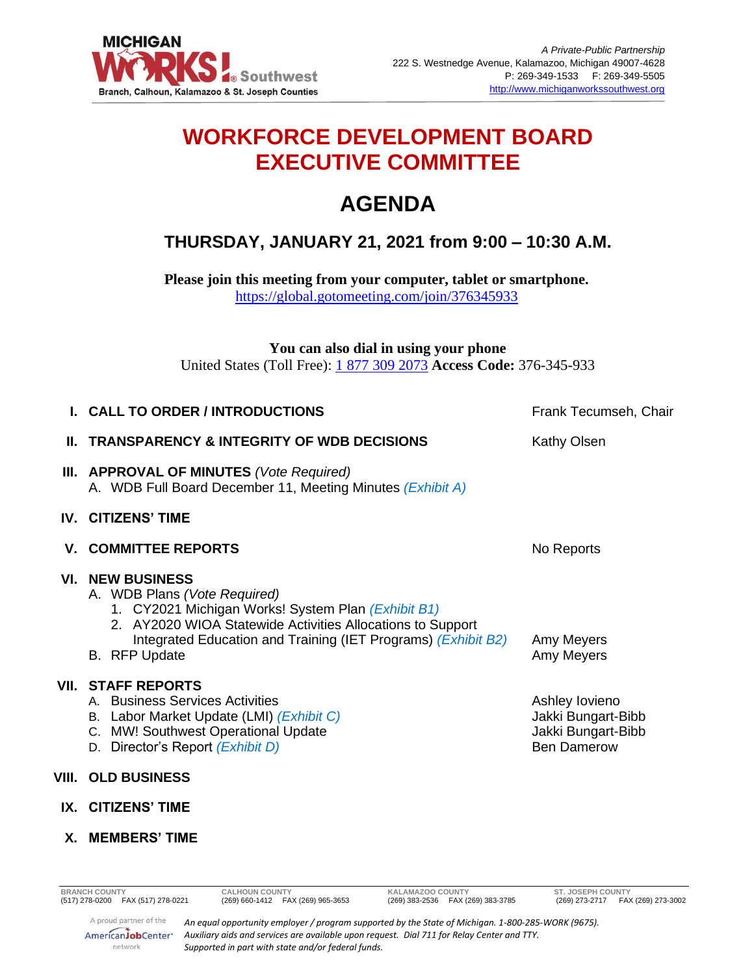

## **WORKFORCE DEVELOPMENT BOARD EXECUTIVE COMMITTEE**

# **AGENDA**

### **THURSDAY, JANUARY 21, 2021 from 9:00 – 10:30 A.M.**

**Please join this meeting from your computer, tablet or smartphone.**  <https://global.gotomeeting.com/join/376345933>

**You can also dial in using your phone**  United States (Toll Free): [1 877 309 2073](tel:+18773092073,,376345933) **Access Code:** 376-345-933

| <b>I. CALL TO ORDER / INTRODUCTIONS</b>                                                                                                                                                                                                                       | Frank Tecumseh, Chair                                                            |
|---------------------------------------------------------------------------------------------------------------------------------------------------------------------------------------------------------------------------------------------------------------|----------------------------------------------------------------------------------|
| <b>IL TRANSPARENCY &amp; INTEGRITY OF WDB DECISIONS</b>                                                                                                                                                                                                       | Kathy Olsen                                                                      |
| <b>III. APPROVAL OF MINUTES</b> (Vote Required)<br>A. WDB Full Board December 11, Meeting Minutes (Exhibit A)                                                                                                                                                 |                                                                                  |
| <b>IV. CITIZENS' TIME</b>                                                                                                                                                                                                                                     |                                                                                  |
| <b>V. COMMITTEE REPORTS</b>                                                                                                                                                                                                                                   | No Reports                                                                       |
| <b>VI. NEW BUSINESS</b><br>A. WDB Plans (Vote Required)<br>1. CY2021 Michigan Works! System Plan (Exhibit B1)<br>2. AY2020 WIOA Statewide Activities Allocations to Support<br>Integrated Education and Training (IET Programs) (Exhibit B2)<br>B. RFP Update | Amy Meyers<br>Amy Meyers                                                         |
| <b>VII. STAFF REPORTS</b><br>A. Business Services Activities<br>B. Labor Market Update (LMI) (Exhibit C)<br>C. MW! Southwest Operational Update<br>D. Director's Report (Exhibit D)                                                                           | Ashley lovieno<br>Jakki Bungart-Bibb<br>Jakki Bungart-Bibb<br><b>Ben Damerow</b> |
| VIII.   OLD BUSINESS                                                                                                                                                                                                                                          |                                                                                  |
| IX. CITIZENS' TIME                                                                                                                                                                                                                                            |                                                                                  |

*Auxiliary aids and services are available upon request. Dial 711 for Relay Center and TTY.*

### **X. MEMBERS' TIME**

AmericanJobCenter\* network

*Supported in part with state and/or federal funds.*